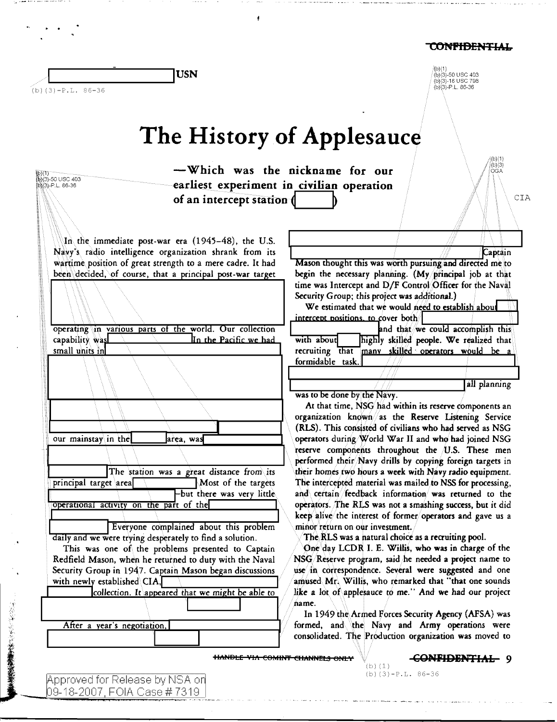(b)(1)<br>(b)(3)-50 USC 403<br>(b)(3)-18 USC 798<br>(b)(3)-P.L. 86-36

|--|

 $(b)$  (3) -P.L. 86-36

# The History of Applesauce

| -Which was the nickname for our<br>(1)(\$)<br>(B)(3)-50 USC 403<br>(我(3)-P.L. 86-36                                                                                                                                                                                                                                                                                                                                                                                                                                                                                                                                                                                                                                                                                                                                                                                                                                                                                          | earliest experiment in civilian operation                                                                                                                                                                                                                                                                                                                                                                                                                                                                                                                                                                                                                                                                                                                                                                                                                                                                                                                                                                                                                                                                                                                                                                                                                                                                                                                                                                                                                                                                                                                                                                                                                                                                                                                                                          |
|------------------------------------------------------------------------------------------------------------------------------------------------------------------------------------------------------------------------------------------------------------------------------------------------------------------------------------------------------------------------------------------------------------------------------------------------------------------------------------------------------------------------------------------------------------------------------------------------------------------------------------------------------------------------------------------------------------------------------------------------------------------------------------------------------------------------------------------------------------------------------------------------------------------------------------------------------------------------------|----------------------------------------------------------------------------------------------------------------------------------------------------------------------------------------------------------------------------------------------------------------------------------------------------------------------------------------------------------------------------------------------------------------------------------------------------------------------------------------------------------------------------------------------------------------------------------------------------------------------------------------------------------------------------------------------------------------------------------------------------------------------------------------------------------------------------------------------------------------------------------------------------------------------------------------------------------------------------------------------------------------------------------------------------------------------------------------------------------------------------------------------------------------------------------------------------------------------------------------------------------------------------------------------------------------------------------------------------------------------------------------------------------------------------------------------------------------------------------------------------------------------------------------------------------------------------------------------------------------------------------------------------------------------------------------------------------------------------------------------------------------------------------------------------|
| of an intercept station (                                                                                                                                                                                                                                                                                                                                                                                                                                                                                                                                                                                                                                                                                                                                                                                                                                                                                                                                                    | CIA                                                                                                                                                                                                                                                                                                                                                                                                                                                                                                                                                                                                                                                                                                                                                                                                                                                                                                                                                                                                                                                                                                                                                                                                                                                                                                                                                                                                                                                                                                                                                                                                                                                                                                                                                                                                |
| In the immediate post-war era (1945-48), the U.S.<br>Navy's radio intelligence organization shrank from its<br>wartime position of great strength to a mere cadre. It had<br>been decided, of course, that a principal post-war target<br>operating in various parts of the world. Our collection<br>In the Pacific we had<br>capability was<br>small units in<br>our mainstay in the<br>area, was<br>The station was a great distance from its<br>principal target area<br>Most of the targets<br>-but there was very little.<br>operational activity on the part of the<br>Everyone complained about this problem<br>daily and we were trying desperately to find a solution.<br>This was one of the problems presented to Captain<br>Redfield Mason, when he returned to duty with the Naval<br>Security Group in 1947. Captain Mason began discussions<br>with newly established CIA,<br>collection. It appeared that we might be able to<br>After a year's negotiation, | Captain<br>Mason thought this was worth pursuing and directed me to<br>begin the necessary planning. (My principal job at that<br>time was Intercept and D/F Control Officer for the Naval<br>Security Group; this project was additional.)<br>We estimated that we would need to establish about<br>intercent positions, to cover both<br>and that we could accomplish this<br>with about<br>highly skilled people. We realized that<br>recruiting that<br>many skilled operators would be a<br>formidable task.<br>all planning<br>was to be done by the Navy.<br>At that time, NSG had within its reserve components an<br>organization known as the Reserve Listening Service<br>(RLS). This consisted of civilians who had served as NSG<br>operators during World War II and who had joined NSG<br>reserve components throughout the U.S. These men<br>performed their Navy drills by copying foreign targets in<br>their homes two hours a week with Navy radio equipment.<br>The intercepted material was mailed to NSS for processing,<br>and certain feedback information was returned to the<br>operators. The RLS was not a smashing success, but it did<br>keep alive the interest of former operators and gave us a<br>minor return on our investment.<br>The RLS was a natural choice as a recruiting pool.<br>One day LCDR I. E. Willis, who was in charge of the<br>NSG/Reserve program, said he needed a project name to<br>use in correspondence. Several were suggested and one<br>amused Mr. Willis, who remarked that "that one sounds<br>like a lot of applesauce to me." And we had our project<br>name.<br>In 1949 the Armed Forces Security Agency (AFSA) was<br>formed, and the Navy and Army operations were<br>consolidated. The Production organization was moved to |

Approved for Release by NSA on<br>09-18-2007, FOIA Case # 7319

● 「そのことの「その後ののです」ということになる。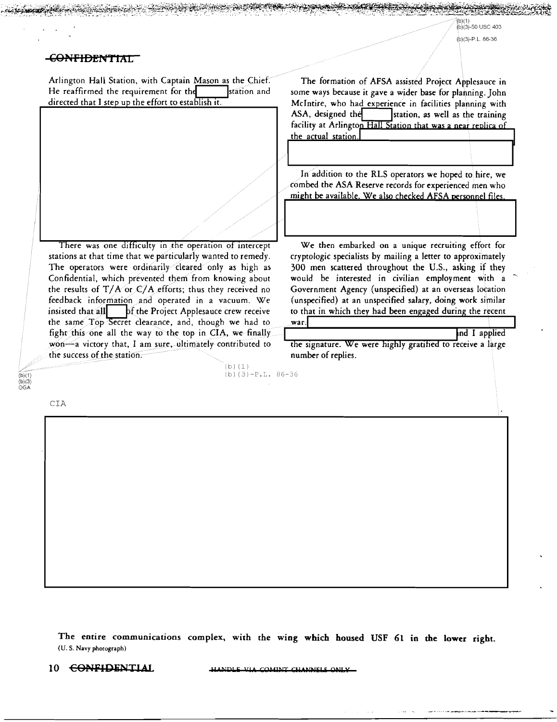## CONFIDENTIAL

Arlington Hall Station, with Captain Mason as the Chief: He reaffirmed the requirement for the  $\overline{\hspace{1em}}$  station and directed that I step up the effort to establish it.

There was one difficulty in the operation of intercept stations at that time that we particularly wanted to remedy. The operators were ordinarily cleared only as high as Confidential, which prevented them from knowing about the results of  $T/A$  or  $C/A$  efforts; thus they received no feedback information and operated in a vacuum. We insisted that all interest Applesauce crew receive the same Top Secret clearance, and, though we had to fight this one all the way to the top in CIA, we finally  $wo0-$ a victory that, I am sure, ultimately contributed to the success of the station.

 $(b)$  $(1)$ 

(b) (3)-P.L. 86-36

The formation of AFSA assisted Project Applesauce in some ways because it gave a wider base for planning. John McIntire, who had experience in facilities planning with<br>ASA, designed the station, as well as the training station, as well as the training facility at Arlington Hall Station that was a near replica of the actual station.

In addition to the RLS operators we hoped to hire, we tombed the ASA Reserve records for experienced men who might be available. We also checked AFSA personnel files.

We then embarked on a unique recruiting effort for cryptologic specialists by mailing a letter to approximately 300 men scattered throughout the U.S., asking if they would be interested in civilian employment with a Government Agency (unspecified) at an overseas location (unspecified) at an unspecified salary, doing work similar to that in which they had been engaged during the recent war.

ind I applied

the signature. We were highly gratified to receive a large number of replies.

CIA

 $(b)(1)$ <br> $(b)(3)$ <br>OGA

The entire communications complex, with the wing which housed USF 61 in the lower right. (U.S. Navy photograph)

~.~~~~~~~~~~~~~~-:~#\$h7~;-t~~;~~i~~\*5';;t~~,~;~~~:-r~:~~~~~~~~~-o::~~~.it@!~~~

10 **CONFIDENTIAL HANDLE VIA COMINT CHANNELS ON**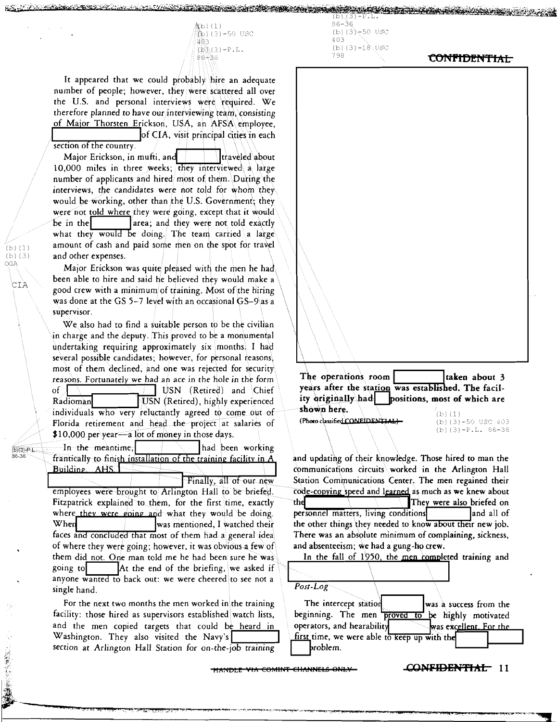急b)(1) ີ**້າ**ວ) (3) –50 USC<br>ມື້ອີງ  $(\mathbb{R}) \setminus (3) - P \cdot L$ . 8G-""3G

**WALLES IN THE CONTROLLER** 

It appeared that we could probably hire an adequate number of people; however, they were scattered all over the U.S. and personal interviews were required. We therefore planned *to* have our interviewing team, consisting of Major Thorsten Erickson, USA, an AFSA\employee,

section of the country. Major Erickson, in mufti, and **Ifter** left in laweled about 10,000 miles in three weeks; they interviewed a large number of applicants and hired most of them. \During the interviews, the candidates were not *told* for whom they would be working, other than the U.S. Government; they were not told where they were going, except that it would be in the  $\vert$  area; and they were not told exactly what they would be doing. The team carried a large amount of cash and paid some men on the spot for travel and other expenses.

Major Erickson was quite pleased with the men he had been able to hire and said he believed they would make a \ good crew with a minimum of training. Most of the hiring was done at the GS 5-7 level with an occasional GS-9\as a supervisor.

 $(b)$   $(1)$ (b) (3) OGA

CIA

 $(b)(3) P L$ <br>86-36

· 1994年1月1日, 1994年1月1日, 1994年1月1日, 1994年1月1日, 1994年1月1日, 1995年1月1日, 1995年1月, 1995年1月, 1995年1月, 1995年

We also had to find a suitable person to be the civilian in charge and the deputy. This proved to be a monumental undertaking requiring approximately six monthsi I had several possible candidates; however, for personal reasons, most of them declined, and one was rejected for security reasons. Fortunately we had an ace in the hole in the form of USN (Retired) and Chief<br>Radioman USN (Retired), highly experienced USN (Retired), highly experienced individuals who very reluctantly agreed to come out of Florida retirement and head the project at salaries of \$10,000 per year-a lot of money in those days.

In the meantime, I is a limit of the meantime, frantically to finish installation of the training facility in *A*<br>Building. AHS.

employees were brought to Arlington Hall to be briefed. Code-copying speed and learned as much as we knew about<br>Fitzpatrick explained to them, for the first time, exactly the the state of the They were also briefed on where they were going and what they would be doing. personnel matters, living conditions and all of When was mentioned, I watched their the other things they needed to know about their new job.<br>faces and concluded that most of them had a general idea There was an absolute minimum of complaining, sickness, of where they were going; however, it was obvious a few of  $\qquad$  and absenteeism; we had a gung-ho crew. them did not. One man told me he had been sure he was Inthe fall of 1950, the men completed training and going to  $\vert$  At the end of the briefing, we asked if anyone w~ back out: we were cheered to see not a ... -------------------· single hand. *Post-Log* 

 $86 - 36$ (b) $(3) - 50$  USC  $403$ (b) $(3)-18.05C$ 

# 798 **CONFIDENTIAL**

The operations room | laken about 3 years after the station was established. The facility originally had positions, most of which are positions, most of which are **shown here.**  $\overline{\text{Show a height}}$  (b) (1)<br>(Photo classified CONEIDENTIAL) (b) (3) -50 USC 403  $(b) (1)$ (Photo classified CONEIDENTIAL)

and updating of their knowledge. Those hired to man the communications circuits worked in the Arlington Hall Finally, all of our new Station Communications Center. The men regained their<br>employees were brought to Arlington Hall to be briefed. code copying speed and learned as much as we knew about was mentioned, I watched their the other things they needed to know about their new job.



**LOWELL WE COMINT CHANNELS ONLY <b>CONFIDENTIAL** 11

(b)  $(3)-P.L. 86-36$